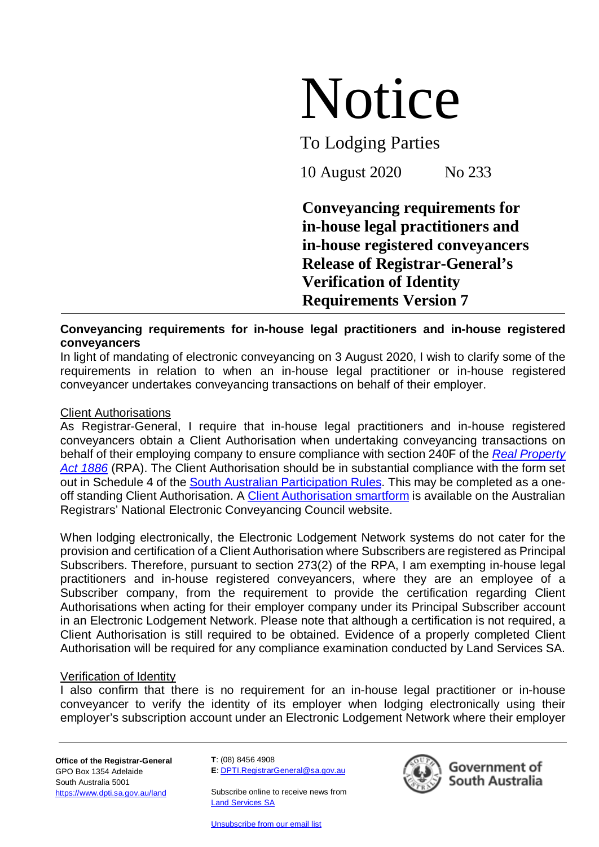# Notice

To Lodging Parties

10 August 2020 No 233

**Conveyancing requirements for in-house legal practitioners and in-house registered conveyancers Release of Registrar-General's Verification of Identity Requirements Version 7**

# **Conveyancing requirements for in-house legal practitioners and in-house registered conveyancers**

In light of mandating of electronic conveyancing on 3 August 2020, I wish to clarify some of the requirements in relation to when an in-house legal practitioner or in-house registered conveyancer undertakes conveyancing transactions on behalf of their employer.

## Client Authorisations

As Registrar-General, I require that in-house legal practitioners and in-house registered conveyancers obtain a Client Authorisation when undertaking conveyancing transactions on behalf of their employing company to ensure compliance with section 240F of the *[Real Property](https://www.legislation.sa.gov.au/LZ/C/A/REAL%20PROPERTY%20ACT%201886/CURRENT/1886.380.AUTH.PDF)  [Act 1886](https://www.legislation.sa.gov.au/LZ/C/A/REAL%20PROPERTY%20ACT%201886/CURRENT/1886.380.AUTH.PDF)* (RPA). The Client Authorisation should be in substantial compliance with the form set out in Schedule 4 of the [South Australian Participation Rules.](https://landservices.com.au/__data/assets/pdf_file/0020/4754/South-Australian-Participation-Rules-Version-5.pdf) This may be completed as a one-off standing Client Authorisation. A [Client Authorisation smartform](https://www.arnecc.gov.au/publications/forms) is available on the Australian Registrars' National Electronic Conveyancing Council website.

When lodging electronically, the Electronic Lodgement Network systems do not cater for the provision and certification of a Client Authorisation where Subscribers are registered as Principal Subscribers. Therefore, pursuant to section 273(2) of the RPA, I am exempting in-house legal practitioners and in-house registered conveyancers, where they are an employee of a Subscriber company, from the requirement to provide the certification regarding Client Authorisations when acting for their employer company under its Principal Subscriber account in an Electronic Lodgement Network. Please note that although a certification is not required, a Client Authorisation is still required to be obtained. Evidence of a properly completed Client Authorisation will be required for any compliance examination conducted by Land Services SA.

### Verification of Identity

I also confirm that there is no requirement for an in-house legal practitioner or in-house conveyancer to verify the identity of its employer when lodging electronically using their employer's subscription account under an Electronic Lodgement Network where their employer

**Office of the Registrar-General** GPO Box 1354 Adelaide South Australia 5001 <https://www.dpti.sa.gov.au/land>

**T**: (08) 8456 4908 **E**: [DPTI.RegistrarGeneral@sa.gov.au](mailto:DPTI.RegistrarGeneral@sa.gov.au)

Subscribe online to receive news from **[Land Services SA](https://landservices.com.au/newsroom/subscribe-to-land-services-sa)** 

[Unsubscribe from our email list](mailto:communications@landservices.com.au?subject=Unsubscribe)



Government of South Australia